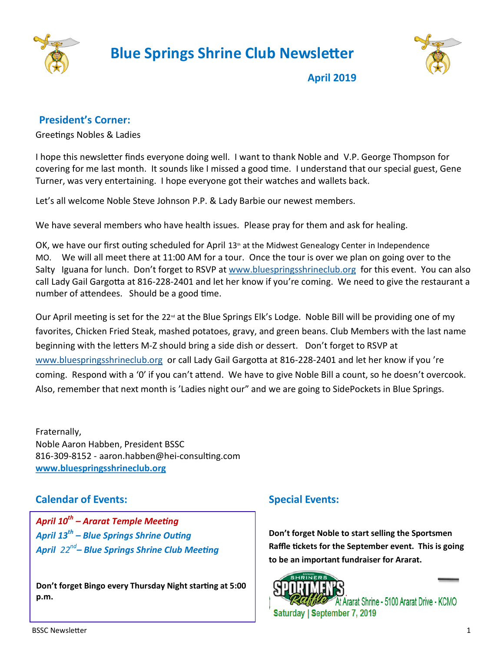

 **Blue Springs Shrine Club Newsletter**



**April 2019**

## **President's Corner:**

Greetings Nobles & Ladies

I hope this newsletter finds everyone doing well. I want to thank Noble and V.P. George Thompson for covering for me last month. It sounds like I missed a good time. I understand that our special guest, Gene Turner, was very entertaining. I hope everyone got their watches and wallets back.

Let's all welcome Noble Steve Johnson P.P. & Lady Barbie our newest members.

We have several members who have health issues. Please pray for them and ask for healing.

OK, we have our first outing scheduled for April  $13<sup>th</sup>$  at the Midwest Genealogy Center in Independence MO. We will all meet there at 11:00 AM for a tour. Once the tour is over we plan on going over to the Salty Iguana for lunch. Don't forget to RSVP at [www.bluespringsshrineclub.org](http://www.bluespringsshrineclub.org/) for this event. You can also call Lady Gail Gargotta at 816-228-2401 and let her know if you're coming. We need to give the restaurant a number of attendees. Should be a good time.

Our April meeting is set for the 22<sup>nd</sup> at the Blue Springs Elk's Lodge. Noble Bill will be providing one of my favorites, Chicken Fried Steak, mashed potatoes, gravy, and green beans. Club Members with the last name beginning with the letters M-Z should bring a side dish or dessert. Don't forget to RSVP at [www.bluespringsshrineclub.org](http://www.bluespringsshrineclub.org/) or call Lady Gail Gargotta at 816-228-2401 and let her know if you 're coming. Respond with a '0' if you can't attend. We have to give Noble Bill a count, so he doesn't overcook. Also, remember that next month is 'Ladies night our" and we are going to SidePockets in Blue Springs.

Fraternally, Noble Aaron Habben, President BSSC 816-309-8152 - aaron.habben@hei-consulting.com **[www.bluespringsshrineclub.org](http://www.bluespringsshrineclub.org)**

## **Calendar of Events:**

*April 10th – Ararat Temple Meeting April 13th – Blue Springs Shrine Outing April 22nd – Blue Springs Shrine Club Meeting*

**Don't forget Bingo every Thursday Night starting at 5:00 p.m.** 

## **Special Events:**

**Don't forget Noble to start selling the Sportsmen Raffle tickets for the September event. This is going to be an important fundraiser for Ararat.**